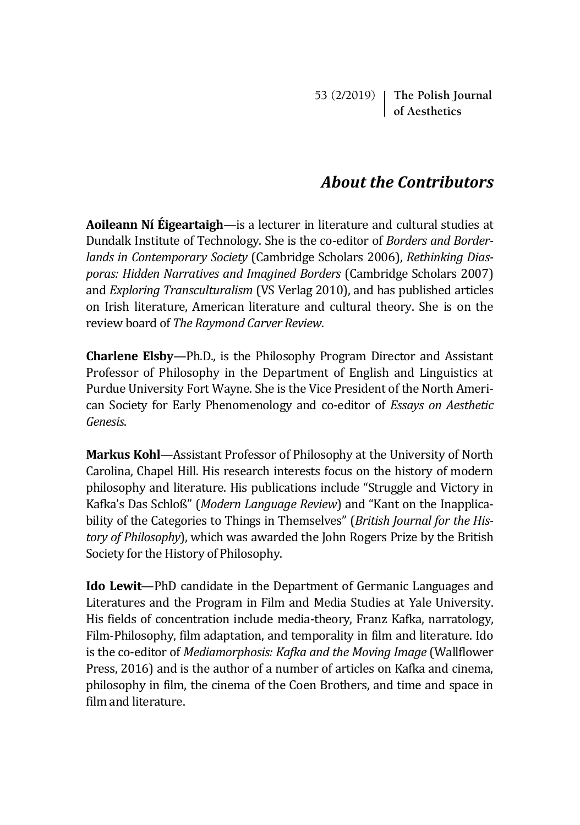53 (2/2019) **The Polish Journal of Aesthetics**

## *About the Contributors*

**Aoileann Ní Éigeartaigh**—is a lecturer in literature and cultural studies at Dundalk Institute of Technology. She is the co-editor of *Borders and Borderlands in Contemporary Society* (Cambridge Scholars 2006), *Rethinking Diasporas: Hidden Narratives and Imagined Borders* (Cambridge Scholars 2007) and *Exploring Transculturalism* (VS Verlag 2010), and has published articles on Irish literature, American literature and cultural theory. She is on the review board of *The Raymond Carver Review*.

**Charlene Elsby**—Ph.D., is the Philosophy Program Director and Assistant Professor of Philosophy in the Department of English and Linguistics at Purdue University Fort Wayne. She is the Vice President of the North American Society for Early Phenomenology and co-editor of *Essays on Aesthetic Genesis*.

**Markus Kohl**—Assistant Professor of Philosophy at the University of North Carolina, Chapel Hill. His research interests focus on the history of modern philosophy and literature. His publications include "Struggle and Victory in Kafka's Das Schloß" (*Modern Language Review*) and "Kant on the Inapplicability of the Categories to Things in Themselves" (*British Journal for the History of Philosophy*), which was awarded the John Rogers Prize by the British Society for the History of Philosophy.

**Ido Lewit**—PhD candidate in the Department of Germanic Languages and Literatures and the Program in Film and Media Studies at Yale University. His fields of concentration include media-theory, Franz Kafka, narratology, Film-Philosophy, film adaptation, and temporality in film and literature. Ido is the co-editor of *Mediamorphosis: Kafka and the Moving Image* (Wallflower Press, 2016) and is the author of a number of articles on Kafka and cinema, philosophy in film, the cinema of the Coen Brothers, and time and space in film and literature.